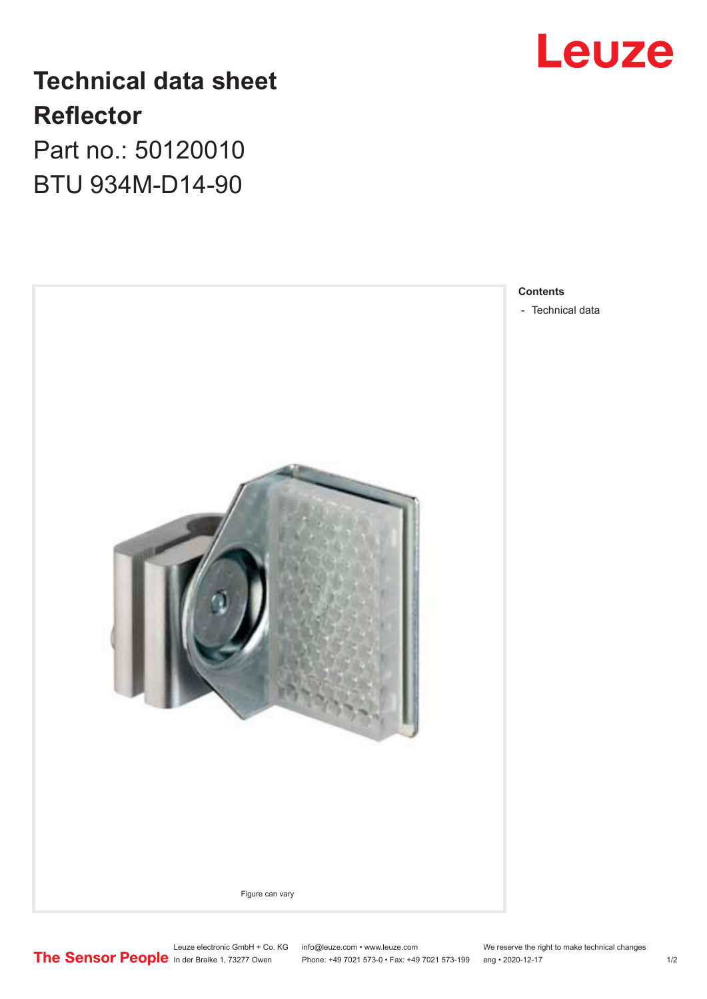## **Technical data sheet Reflector** Part no.: 50120010

BTU 934M-D14-90





**Contents**

- [Technical data](#page-1-0)

Leuze electronic GmbH + Co. KG info@leuze.com • www.leuze.com We reserve the right to make technical changes In der Braike 1, 73277 Owen Phone: +49 7021 573-0 • Fax: +49 7021 573-199 eng • 2020-12-17 1 /2